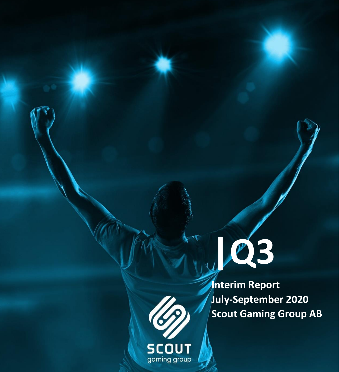

**Interim Report July-September 2020 Scout Gaming Group AB**

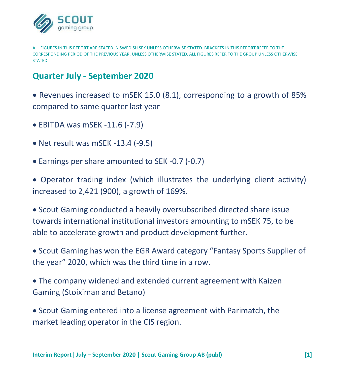

ALL FIGURES IN THIS REPORT ARE STATED IN SWEDISH SEK UNLESS OTHERWISE STATED. BRACKETS IN THIS REPORT REFER TO THE CORRESPONDING PERIOD OF THE PREVIOUS YEAR, UNLESS OTHERWISE STATED. ALL FIGURES REFER TO THE GROUP UNLESS OTHERWISE **STATED.** 

## **Quarter July - September 2020**

• Revenues increased to mSEK 15.0 (8.1), corresponding to a growth of 85% compared to same quarter last year

- EBITDA was mSEK -11.6 (-7.9)
- Net result was mSEK -13.4 (-9.5)
- Earnings per share amounted to SEK -0.7 (-0.7)

• Operator trading index (which illustrates the underlying client activity) increased to 2,421 (900), a growth of 169%.

• Scout Gaming conducted a heavily oversubscribed directed share issue towards international institutional investors amounting to mSEK 75, to be able to accelerate growth and product development further.

• Scout Gaming has won the EGR Award category "Fantasy Sports Supplier of the year" 2020, which was the third time in a row.

• The company widened and extended current agreement with Kaizen Gaming (Stoiximan and Betano)

• Scout Gaming entered into a license agreement with Parimatch, the market leading operator in the CIS region.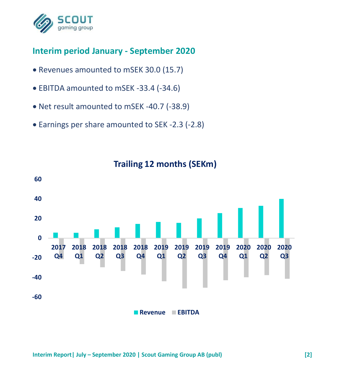

## **Interim period January - September 2020**

- Revenues amounted to mSEK 30.0 (15.7)
- EBITDA amounted to mSEK -33.4 (-34.6)
- Net result amounted to mSEK -40.7 (-38.9)
- Earnings per share amounted to SEK -2.3 (-2.8)



## **Trailing 12 months (SEKm)**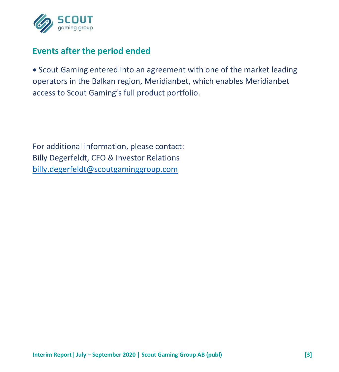

## **Events after the period ended**

• Scout Gaming entered into an agreement with one of the market leading operators in the Balkan region, Meridianbet, which enables Meridianbet access to Scout Gaming's full product portfolio.

For additional information, please contact: Billy Degerfeldt, CFO & Investor Relations [billy.degerfeldt@scoutgaminggroup.com](mailto:billy.degerfeldt@scoutgaminggroup.com)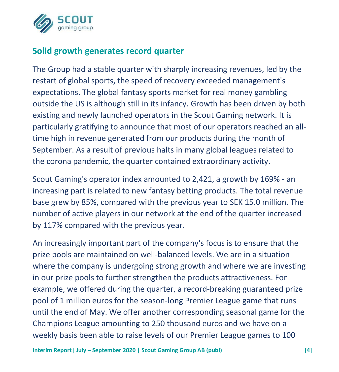

## **Solid growth generates record quarter**

The Group had a stable quarter with sharply increasing revenues, led by the restart of global sports, the speed of recovery exceeded management's expectations. The global fantasy sports market for real money gambling outside the US is although still in its infancy. Growth has been driven by both existing and newly launched operators in the Scout Gaming network. It is particularly gratifying to announce that most of our operators reached an alltime high in revenue generated from our products during the month of September. As a result of previous halts in many global leagues related to the corona pandemic, the quarter contained extraordinary activity.

Scout Gaming's operator index amounted to 2,421, a growth by 169% - an increasing part is related to new fantasy betting products. The total revenue base grew by 85%, compared with the previous year to SEK 15.0 million. The number of active players in our network at the end of the quarter increased by 117% compared with the previous year.

An increasingly important part of the company's focus is to ensure that the prize pools are maintained on well-balanced levels. We are in a situation where the company is undergoing strong growth and where we are investing in our prize pools to further strengthen the products attractiveness. For example, we offered during the quarter, a record-breaking guaranteed prize pool of 1 million euros for the season-long Premier League game that runs until the end of May. We offer another corresponding seasonal game for the Champions League amounting to 250 thousand euros and we have on a weekly basis been able to raise levels of our Premier League games to 100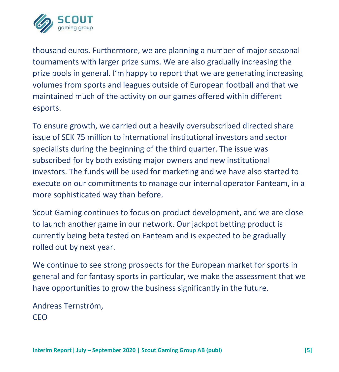

thousand euros. Furthermore, we are planning a number of major seasonal tournaments with larger prize sums. We are also gradually increasing the prize pools in general. I'm happy to report that we are generating increasing volumes from sports and leagues outside of European football and that we maintained much of the activity on our games offered within different esports.

To ensure growth, we carried out a heavily oversubscribed directed share issue of SEK 75 million to international institutional investors and sector specialists during the beginning of the third quarter. The issue was subscribed for by both existing major owners and new institutional investors. The funds will be used for marketing and we have also started to execute on our commitments to manage our internal operator Fanteam, in a more sophisticated way than before.

Scout Gaming continues to focus on product development, and we are close to launch another game in our network. Our jackpot betting product is currently being beta tested on Fanteam and is expected to be gradually rolled out by next year.

We continue to see strong prospects for the European market for sports in general and for fantasy sports in particular, we make the assessment that we have opportunities to grow the business significantly in the future.

Andreas Ternström, CEO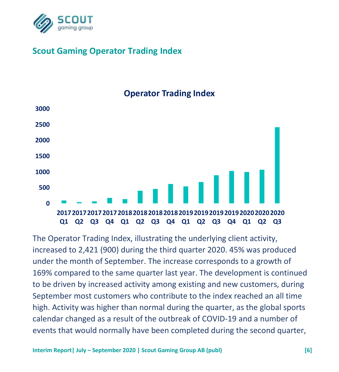

## **Scout Gaming Operator Trading Index**

# **0 500 1000 1500 2000 2500 3000 2017 2017 2017 2017 2018 2018 2018 2018 2019 2019 2019 2019 2020 2020 2020 Q1 Q2 Q3 Q4 Q1 Q2 Q3 Q4 Q1 Q2 Q3 Q4 Q1 Q2 Q3**

## **Operator Trading Index**

The Operator Trading Index, illustrating the underlying client activity, increased to 2,421 (900) during the third quarter 2020. 45% was produced under the month of September. The increase corresponds to a growth of 169% compared to the same quarter last year. The development is continued to be driven by increased activity among existing and new customers, during September most customers who contribute to the index reached an all time high. Activity was higher than normal during the quarter, as the global sports calendar changed as a result of the outbreak of COVID-19 and a number of events that would normally have been completed during the second quarter,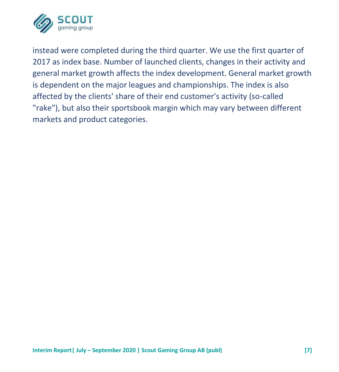

instead were completed during the third quarter. We use the first quarter of 2017 as index base. Number of launched clients, changes in their activity and general market growth affects the index development. General market growth is dependent on the major leagues and championships. The index is also affected by the clients' share of their end customer's activity (so-called "rake"), but also their sportsbook margin which may vary between different markets and product categories.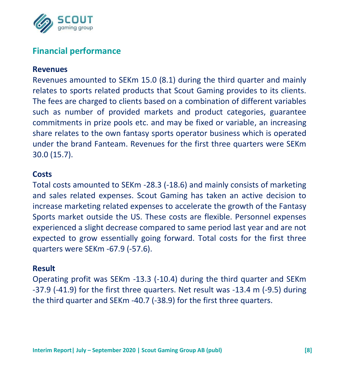

## **Financial performance**

#### **Revenues**

Revenues amounted to SEKm 15.0 (8.1) during the third quarter and mainly relates to sports related products that Scout Gaming provides to its clients. The fees are charged to clients based on a combination of different variables such as number of provided markets and product categories, guarantee commitments in prize pools etc. and may be fixed or variable, an increasing share relates to the own fantasy sports operator business which is operated under the brand Fanteam. Revenues for the first three quarters were SEKm 30.0 (15.7).

#### **Costs**

Total costs amounted to SEKm -28.3 (-18.6) and mainly consists of marketing and sales related expenses. Scout Gaming has taken an active decision to increase marketing related expenses to accelerate the growth of the Fantasy Sports market outside the US. These costs are flexible. Personnel expenses experienced a slight decrease compared to same period last year and are not expected to grow essentially going forward. Total costs for the first three quarters were SEKm -67.9 (-57.6).

#### **Result**

Operating profit was SEKm -13.3 (-10.4) during the third quarter and SEKm -37.9 (-41.9) for the first three quarters. Net result was -13.4 m (-9.5) during the third quarter and SEKm -40.7 (-38.9) for the first three quarters.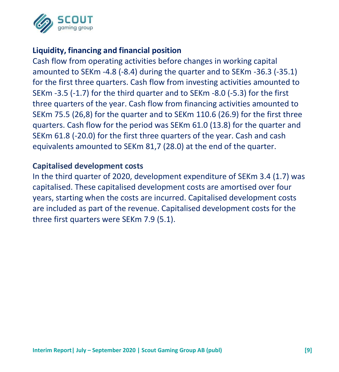

### **Liquidity, financing and financial position**

Cash flow from operating activities before changes in working capital amounted to SEKm -4.8 (-8.4) during the quarter and to SEKm -36.3 (-35.1) for the first three quarters. Cash flow from investing activities amounted to SEKm -3.5 (-1.7) for the third quarter and to SEKm -8.0 (-5.3) for the first three quarters of the year. Cash flow from financing activities amounted to SEKm 75.5 (26,8) for the quarter and to SEKm 110.6 (26.9) for the first three quarters. Cash flow for the period was SEKm 61.0 (13.8) for the quarter and SEKm 61.8 (-20.0) for the first three quarters of the year. Cash and cash equivalents amounted to SEKm 81,7 (28.0) at the end of the quarter.

#### **Capitalised development costs**

In the third quarter of 2020, development expenditure of SEKm 3.4 (1.7) was capitalised. These capitalised development costs are amortised over four years, starting when the costs are incurred. Capitalised development costs are included as part of the revenue. Capitalised development costs for the three first quarters were SEKm 7.9 (5.1).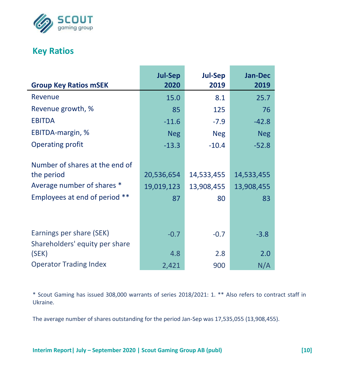

## **Key Ratios**

L

|                                | <b>Jul-Sep</b> | <b>Jul-Sep</b> | <b>Jan-Dec</b> |
|--------------------------------|----------------|----------------|----------------|
| <b>Group Key Ratios mSEK</b>   | 2020           | 2019           | 2019           |
| Revenue                        | 15.0           | 8.1            | 25.7           |
| Revenue growth, %              | 85             | 125            | 76             |
| <b>EBITDA</b>                  | $-11.6$        | -7.9           | $-42.8$        |
| EBITDA-margin, %               | <b>Neg</b>     | <b>Neg</b>     | <b>Neg</b>     |
| <b>Operating profit</b>        | $-13.3$        | $-10.4$        | $-52.8$        |
|                                |                |                |                |
| Number of shares at the end of |                |                |                |
| the period                     | 20,536,654     | 14,533,455     | 14,533,455     |
| Average number of shares *     | 19,019,123     | 13,908,455     | 13,908,455     |
| Employees at end of period **  | 87             | 80             | 83             |
|                                |                |                |                |
|                                |                |                |                |
| Earnings per share (SEK)       | $-0.7$         | $-0.7$         | $-3.8$         |
| Shareholders' equity per share |                |                |                |
| (SEK)                          | 4.8            | 2.8            | 2.0            |
| <b>Operator Trading Index</b>  | 2,421          | 900            | N/A            |

\* Scout Gaming has issued 308,000 warrants of series 2018/2021: 1. \*\* Also refers to contract staff in Ukraine.

The average number of shares outstanding for the period Jan-Sep was 17,535,055 (13,908,455).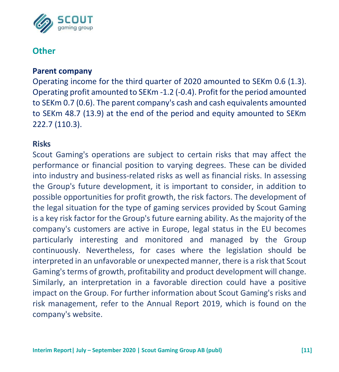

## **Other**

#### **Parent company**

Operating income for the third quarter of 2020 amounted to SEKm 0.6 (1.3). Operating profit amounted to SEKm -1.2 (-0.4). Profit for the period amounted to SEKm 0.7 (0.6). The parent company's cash and cash equivalents amounted to SEKm 48.7 (13.9) at the end of the period and equity amounted to SEKm 222.7 (110.3).

#### **Risks**

Scout Gaming's operations are subject to certain risks that may affect the performance or financial position to varying degrees. These can be divided into industry and business-related risks as well as financial risks. In assessing the Group's future development, it is important to consider, in addition to possible opportunities for profit growth, the risk factors. The development of the legal situation for the type of gaming services provided by Scout Gaming is a key risk factor for the Group's future earning ability. As the majority of the company's customers are active in Europe, legal status in the EU becomes particularly interesting and monitored and managed by the Group continuously. Nevertheless, for cases where the legislation should be interpreted in an unfavorable or unexpected manner, there is a risk that Scout Gaming's terms of growth, profitability and product development will change. Similarly, an interpretation in a favorable direction could have a positive impact on the Group. For further information about Scout Gaming's risks and risk management, refer to the Annual Report 2019, which is found on the company's website.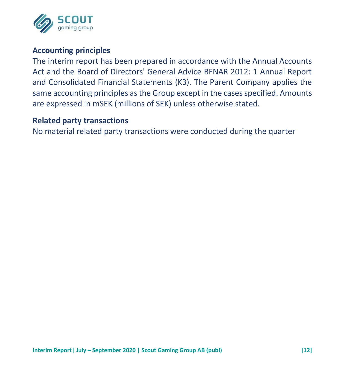

#### **Accounting principles**

The interim report has been prepared in accordance with the Annual Accounts Act and the Board of Directors' General Advice BFNAR 2012: 1 Annual Report and Consolidated Financial Statements (K3). The Parent Company applies the same accounting principles as the Group except in the cases specified. Amounts are expressed in mSEK (millions of SEK) unless otherwise stated.

#### **Related party transactions**

No material related party transactions were conducted during the quarter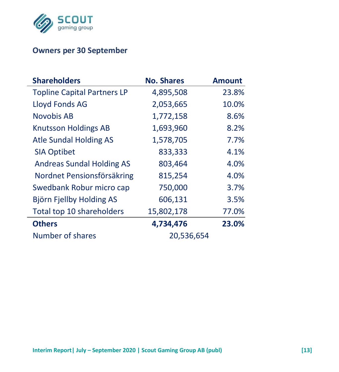

### **Owners per 30 September**

| <b>Shareholders</b>                | <b>No. Shares</b> | <b>Amount</b> |
|------------------------------------|-------------------|---------------|
| <b>Topline Capital Partners LP</b> | 4,895,508         | 23.8%         |
| Lloyd Fonds AG                     | 2,053,665         | 10.0%         |
| Novobis AB                         | 1,772,158         | 8.6%          |
| <b>Knutsson Holdings AB</b>        | 1,693,960         | 8.2%          |
| Atle Sundal Holding AS             | 1,578,705         | 7.7%          |
| <b>SIA Optibet</b>                 | 833,333           | 4.1%          |
| <b>Andreas Sundal Holding AS</b>   | 803,464           | 4.0%          |
| Nordnet Pensionsförsäkring         | 815,254           | 4.0%          |
| Swedbank Robur micro cap           | 750,000           | 3.7%          |
| Björn Fjellby Holding AS           | 606,131           | 3.5%          |
| Total top 10 shareholders          | 15,802,178        | 77.0%         |
| <b>Others</b>                      | 4,734,476         | 23.0%         |
| Number of shares                   | 20,536,654        |               |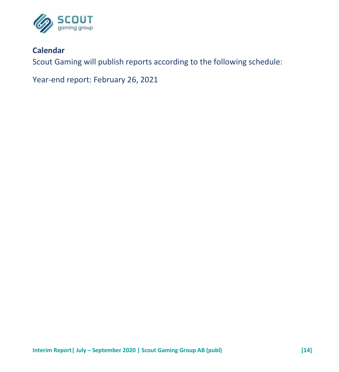

### **Calendar**

Scout Gaming will publish reports according to the following schedule:

Year-end report: February 26, 2021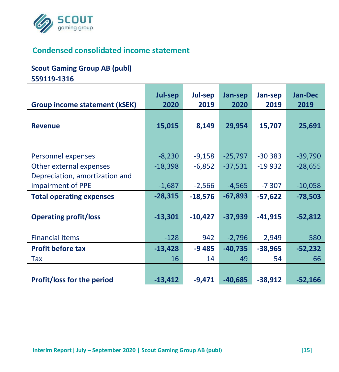

## **Condensed consolidated income statement**

#### **Scout Gaming Group AB (publ)**

**559119-1316**

|                                                                                 | Jul-sep               | Jul-sep              | Jan-sep                | Jan-sep              | <b>Jan-Dec</b>         |
|---------------------------------------------------------------------------------|-----------------------|----------------------|------------------------|----------------------|------------------------|
| <b>Group income statement (kSEK)</b>                                            | 2020                  | 2019                 | 2020                   | 2019                 | 2019                   |
| <b>Revenue</b>                                                                  | 15,015                | 8,149                | 29,954                 | 15,707               | 25,691                 |
| Personnel expenses<br>Other external expenses<br>Depreciation, amortization and | $-8,230$<br>$-18,398$ | $-9,158$<br>$-6,852$ | $-25,797$<br>$-37,531$ | $-30383$<br>$-19932$ | $-39,790$<br>$-28,655$ |
| impairment of PPE                                                               | $-1,687$              | $-2,566$             | $-4,565$               | $-7307$              | $-10,058$              |
| <b>Total operating expenses</b>                                                 | $-28,315$             | $-18,576$            | $-67,893$              | $-57,622$            | $-78,503$              |
| <b>Operating profit/loss</b>                                                    | $-13,301$             | $-10,427$            | $-37,939$              | $-41,915$            | $-52,812$              |
| <b>Financial items</b>                                                          | $-128$                | 942                  | $-2,796$               | 2,949                | 580                    |
| <b>Profit before tax</b>                                                        | $-13,428$             | $-9485$              | $-40,735$              | $-38,965$            | $-52,232$              |
| Tax                                                                             | 16                    | 14                   | 49                     | 54                   | 66                     |
| <b>Profit/loss for the period</b>                                               | $-13,412$             | $-9,471$             | $-40,685$              | $-38,912$            | $-52,166$              |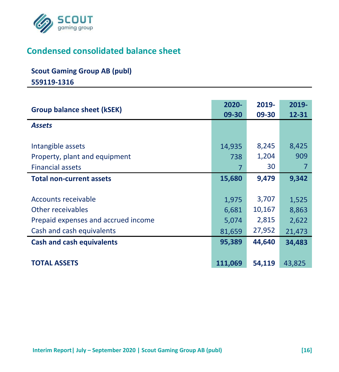

## **Condensed consolidated balance sheet**

## **Scout Gaming Group AB (publ)**

**559119-1316**

| <b>Group balance sheet (kSEK)</b>                                                                            | 2020-<br>09-30                    | 2019-<br>09-30                     | 2019-<br>12-31                    |
|--------------------------------------------------------------------------------------------------------------|-----------------------------------|------------------------------------|-----------------------------------|
| <b>Assets</b>                                                                                                |                                   |                                    |                                   |
| Intangible assets<br>Property, plant and equipment<br><b>Financial assets</b>                                | 14,935<br>738<br>7                | 8,245<br>1,204<br>30               | 8,425<br>909                      |
| <b>Total non-current assets</b>                                                                              | 15,680                            | 9,479                              | 9,342                             |
| Accounts receivable<br>Other receivables<br>Prepaid expenses and accrued income<br>Cash and cash equivalents | 1,975<br>6,681<br>5,074<br>81,659 | 3,707<br>10,167<br>2,815<br>27,952 | 1,525<br>8,863<br>2,622<br>21,473 |
| <b>Cash and cash equivalents</b>                                                                             | 95,389                            | 44,640                             | 34,483                            |
| <b>TOTAL ASSETS</b>                                                                                          | 111,069                           | 54,119                             | 43,825                            |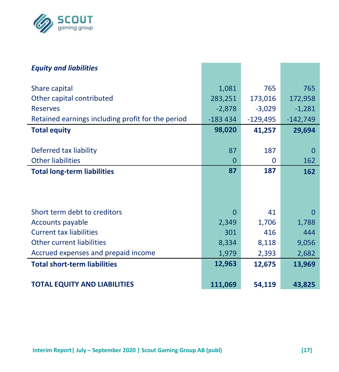

| <b>Equity and liabilities</b>                     |           |            |            |
|---------------------------------------------------|-----------|------------|------------|
| Share capital                                     | 1,081     | 765        | 765        |
| Other capital contributed                         | 283,251   | 173,016    | 172,958    |
| <b>Reserves</b>                                   | $-2,878$  | $-3,029$   | $-1,281$   |
| Retained earnings including profit for the period | $-183434$ | $-129,495$ | $-142,749$ |
| <b>Total equity</b>                               | 98,020    | 41,257     | 29,694     |
|                                                   |           |            |            |
| Deferred tax liability                            | 87        | 187        | O          |
| <b>Other liabilities</b>                          | 0         | 0          | 162        |
| <b>Total long-term liabilities</b>                | 87        | 187        | 162        |
|                                                   |           |            |            |
|                                                   |           |            |            |
| Short term debt to creditors                      | 0         | 41         | 0          |
| Accounts payable                                  | 2,349     | 1,706      | 1,788      |
| <b>Current tax liabilities</b>                    | 301       | 416        | 444        |
| Other current liabilities                         | 8,334     | 8,118      | 9,056      |
| Accrued expenses and prepaid income               | 1,979     | 2,393      | 2,682      |
| <b>Total short-term liabilities</b>               | 12,963    | 12,675     | 13,969     |
| <b>TOTAL EQUITY AND LIABILITIES</b>               | 111,069   | 54,119     | 43,825     |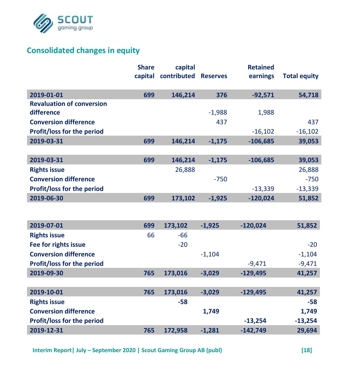

## **Consolidated changes in equity**

|                                   | <b>Share</b> | capital     |                 | <b>Retained</b> |                     |
|-----------------------------------|--------------|-------------|-----------------|-----------------|---------------------|
|                                   | capital      | contributed | <b>Reserves</b> | earnings        | <b>Total equity</b> |
| 2019-01-01                        | 699          | 146,214     | 376             | $-92,571$       | 54,718              |
| <b>Revaluation of conversion</b>  |              |             |                 |                 |                     |
| difference                        |              |             | $-1,988$        | 1,988           |                     |
| <b>Conversion difference</b>      |              |             | 437             |                 | 437                 |
| Profit/loss for the period        |              |             |                 | $-16,102$       | $-16,102$           |
| 2019-03-31                        | 699          | 146,214     | $-1,175$        | $-106,685$      | 39,053              |
|                                   |              |             |                 |                 |                     |
| 2019-03-31                        | 699          | 146,214     | $-1,175$        | $-106,685$      | 39,053              |
| <b>Rights issue</b>               |              | 26,888      |                 |                 | 26,888              |
| <b>Conversion difference</b>      |              |             | $-750$          |                 | $-750$              |
| Profit/loss for the period        |              |             |                 | $-13,339$       | $-13,339$           |
| 2019-06-30                        | 699          | 173,102     | $-1,925$        | $-120,024$      | 51,852              |
|                                   |              |             |                 |                 |                     |
| 2019-07-01                        | 699          | 173,102     | $-1.925$        | $-120,024$      | 51,852              |
| <b>Rights issue</b>               | 66           | $-66$       |                 |                 |                     |
| Fee for rights issue              |              | $-20$       |                 |                 | $-20$               |
| <b>Conversion difference</b>      |              |             | $-1,104$        |                 | $-1,104$            |
| Profit/loss for the period        |              |             |                 | $-9,471$        | $-9,471$            |
| 2019-09-30                        | 765          | 173,016     | $-3,029$        | $-129,495$      | 41,257              |
|                                   |              |             |                 |                 |                     |
| 2019-10-01                        | 765          | 173,016     | $-3,029$        | $-129,495$      | 41,257              |
| <b>Rights issue</b>               |              | $-58$       |                 |                 | $-58$               |
| <b>Conversion difference</b>      |              |             | 1,749           |                 | 1,749               |
| <b>Profit/loss for the period</b> |              |             |                 | $-13,254$       | $-13,254$           |
| 2019-12-31                        | 765          | 172,958     | $-1,281$        | $-142,749$      | 29,694              |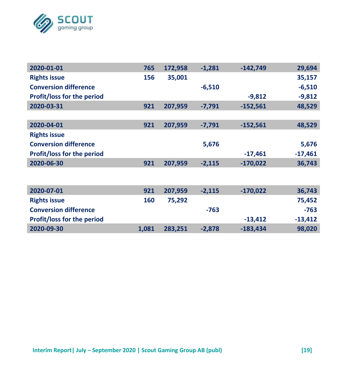

| 2020-01-01                        | 765 | 172,958 | $-1.281$ | $-142.749$ | 29,694    |
|-----------------------------------|-----|---------|----------|------------|-----------|
| <b>Rights issue</b>               | 156 | 35,001  |          |            | 35,157    |
| <b>Conversion difference</b>      |     |         | $-6,510$ |            | $-6,510$  |
| <b>Profit/loss for the period</b> |     |         |          | $-9,812$   | $-9,812$  |
| 2020-03-31                        | 921 | 207,959 | $-7,791$ | $-152,561$ | 48,529    |
|                                   |     |         |          |            |           |
| 2020-04-01                        | 921 | 207,959 | $-7,791$ | $-152,561$ | 48,529    |
| <b>Rights issue</b>               |     |         |          |            |           |
| <b>Conversion difference</b>      |     |         | 5,676    |            | 5,676     |
| <b>Profit/loss for the period</b> |     |         |          | $-17,461$  | $-17,461$ |
| 2020-06-30                        | 921 | 207,959 | $-2,115$ | $-170,022$ | 36,743    |
|                                   |     |         |          |            |           |
|                                   |     |         |          |            |           |
| 2020-07-01                        | 921 | 207,959 | $-2,115$ | $-170,022$ | 36,743    |

| <b>Rights issue</b>               | 160   | 75.292  |          |            | 75.452    |
|-----------------------------------|-------|---------|----------|------------|-----------|
| <b>Conversion difference</b>      |       |         | -763     |            | $-763$    |
| <b>Profit/loss for the period</b> |       |         |          | $-13.412$  | $-13.412$ |
| 2020-09-30                        | 1.081 | 283.251 | $-2.878$ | $-183.434$ | 98.020    |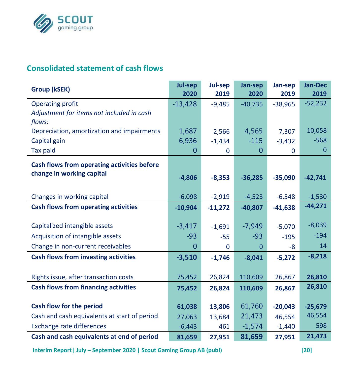

## **Consolidated statement of cash flows**

| Group (kSEK)                                 | Jul-sep<br>2020 | Jul-sep<br>2019 | Jan-sep<br>2020 | Jan-sep<br>2019 | <b>Jan-Dec</b><br>2019 |
|----------------------------------------------|-----------------|-----------------|-----------------|-----------------|------------------------|
| Operating profit                             | $-13,428$       | $-9,485$        | $-40,735$       | $-38,965$       | $-52,232$              |
| Adjustment for items not included in cash    |                 |                 |                 |                 |                        |
| flows:                                       |                 |                 |                 |                 |                        |
| Depreciation, amortization and impairments   | 1,687           | 2,566           | 4,565           | 7.307           | 10,058                 |
| Capital gain                                 | 6,936           | $-1,434$        | $-115$          | $-3,432$        | $-568$                 |
| Tax paid                                     | 0               | 0               | 0               | 0               | $\mathbf 0$            |
| Cash flows from operating activities before  |                 |                 |                 |                 |                        |
| change in working capital                    | $-4,806$        | $-8,353$        | $-36,285$       | $-35,090$       | $-42,741$              |
|                                              |                 |                 |                 |                 |                        |
| Changes in working capital                   | $-6,098$        | $-2,919$        | $-4,523$        | $-6,548$        | $-1,530$               |
| Cash flows from operating activities         | $-10,904$       | $-11,272$       | $-40,807$       | $-41,638$       | $-44,271$              |
|                                              |                 |                 |                 |                 |                        |
| Capitalized intangible assets                | $-3,417$        | $-1,691$        | $-7,949$        | $-5,070$        | $-8,039$               |
| Acquisition of intangible assets             | $-93$           | $-55$           | $-93$           | $-195$          | $-194$                 |
| Change in non-current receivables            | $\Omega$        | 0               | $\Omega$        | -8              | 14                     |
| <b>Cash flows from investing activities</b>  | $-3,510$        | $-1,746$        | $-8,041$        | $-5,272$        | $-8,218$               |
|                                              |                 |                 |                 |                 |                        |
| Rights issue, after transaction costs        | 75,452          | 26,824          | 110,609         | 26,867          | 26,810                 |
| <b>Cash flows from financing activities</b>  | 75,452          | 26,824          | 110,609         | 26,867          | 26,810                 |
|                                              |                 |                 |                 |                 |                        |
| Cash flow for the period                     | 61,038          | 13,806          | 61,760          | $-20,043$       | $-25,679$              |
| Cash and cash equivalents at start of period | 27,063          | 13,684          | 21,473          | 46,554          | 46,554                 |
| <b>Exchange rate differences</b>             | $-6,443$        | 461             | $-1,574$        | $-1,440$        | 598                    |
| Cash and cash equivalents at end of period   | 81,659          | 27,951          | 81,659          | 27,951          | 21,473                 |

**Interim Report| July – September 2020 | Scout Gaming Group AB (publ) [20]**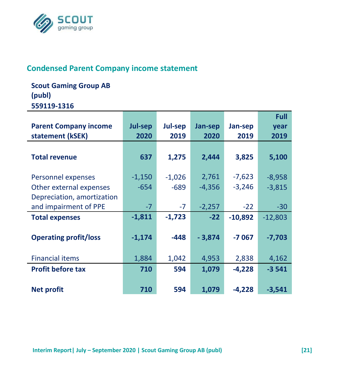

### **Condensed Parent Company income statement**

## **Scout Gaming Group AB (publ) 559119-1316**

|                              |          |          |          |           | <b>Full</b> |
|------------------------------|----------|----------|----------|-----------|-------------|
| <b>Parent Company income</b> | Jul-sep  | Jul-sep  | Jan-sep  | Jan-sep   | year        |
| statement (kSEK)             | 2020     | 2019     | 2020     | 2019      | 2019        |
|                              |          |          |          |           |             |
| <b>Total revenue</b>         | 637      | 1,275    | 2,444    | 3,825     | 5,100       |
|                              |          |          |          |           |             |
| Personnel expenses           | $-1,150$ | $-1,026$ | 2,761    | $-7,623$  | $-8,958$    |
| Other external expenses      | $-654$   | $-689$   | $-4,356$ | $-3,246$  | $-3,815$    |
| Depreciation, amortization   |          |          |          |           |             |
| and impairment of PPE        | $-7$     | $-7$     | $-2,257$ | $-22$     | $-30$       |
| <b>Total expenses</b>        | $-1,811$ | $-1,723$ | $-22$    | $-10,892$ | $-12,803$   |
|                              |          |          |          |           |             |
| <b>Operating profit/loss</b> | $-1,174$ | $-448$   | $-3,874$ | $-7067$   | $-7,703$    |
|                              |          |          |          |           |             |
| <b>Financial items</b>       | 1,884    | 1,042    | 4,953    | 2,838     | 4,162       |
| <b>Profit before tax</b>     | 710      | 594      | 1.079    | $-4.228$  | $-3541$     |
|                              |          |          |          |           |             |
| <b>Net profit</b>            | 710      | 594      | 1,079    | $-4,228$  | $-3,541$    |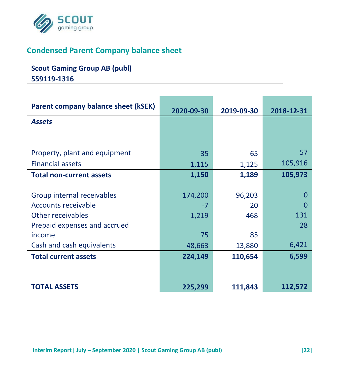

## **Condensed Parent Company balance sheet**

## **Scout Gaming Group AB (publ) 559119-1316**

| Parent company balance sheet (kSEK) | 2020-09-30 | 2019-09-30 | 2018-12-31 |
|-------------------------------------|------------|------------|------------|
| <b>Assets</b>                       |            |            |            |
|                                     |            |            |            |
|                                     |            |            |            |
| Property, plant and equipment       | 35         | 65         | 57         |
| <b>Financial assets</b>             | 1,115      | 1,125      | 105,916    |
| <b>Total non-current assets</b>     | 1,150      | 1,189      | 105,973    |
|                                     |            |            |            |
| Group internal receivables          | 174,200    | 96,203     | 0          |
| Accounts receivable                 | -7         | 20         |            |
| Other receivables                   | 1,219      | 468        | 131        |
| Prepaid expenses and accrued        |            |            | 28         |
| income                              | 75         | 85         |            |
| Cash and cash equivalents           | 48,663     | 13,880     | 6,421      |
| <b>Total current assets</b>         | 224,149    | 110,654    | 6,599      |
|                                     |            |            |            |
|                                     |            |            |            |
| <b>TOTAL ASSETS</b>                 | 225,299    | 111,843    | 112,572    |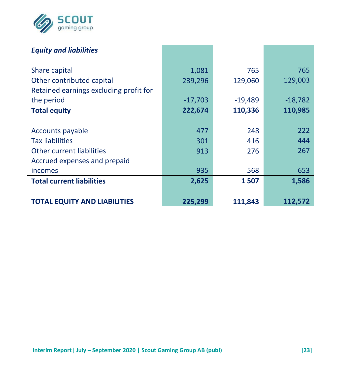

| <b>Equity and liabilities</b>          |           |           |           |
|----------------------------------------|-----------|-----------|-----------|
| Share capital                          | 1,081     | 765       | 765       |
| Other contributed capital              | 239,296   | 129,060   | 129,003   |
| Retained earnings excluding profit for |           |           |           |
| the period                             | $-17,703$ | $-19,489$ | $-18,782$ |
| <b>Total equity</b>                    | 222,674   | 110,336   | 110,985   |
|                                        |           |           |           |
| Accounts payable                       | 477       | 248       | 222       |
| <b>Tax liabilities</b>                 | 301       | 416       | 444       |
| Other current liabilities              | 913       | 276       | 267       |
| Accrued expenses and prepaid           |           |           |           |
| incomes                                | 935       | 568       | 653       |
| <b>Total current liabilities</b>       | 2,625     | 1507      | 1,586     |
|                                        |           |           |           |
| <b>TOTAL EQUITY AND LIABILITIES</b>    | 225,299   | 111,843   | 112,572   |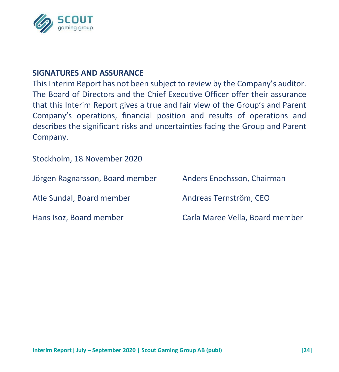

#### **SIGNATURES AND ASSURANCE**

This Interim Report has not been subject to review by the Company's auditor. The Board of Directors and the Chief Executive Officer offer their assurance that this Interim Report gives a true and fair view of the Group's and Parent Company's operations, financial position and results of operations and describes the significant risks and uncertainties facing the Group and Parent Company.

Stockholm, 18 November 2020

| Jörgen Ragnarsson, Board member | Anders Enochsson, Chairman      |
|---------------------------------|---------------------------------|
| Atle Sundal, Board member       | Andreas Ternström. CEO          |
| Hans Isoz, Board member         | Carla Maree Vella, Board member |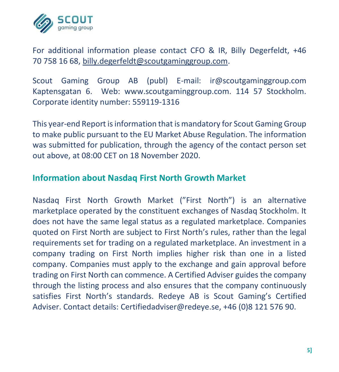

For additional information please contact CFO & IR, Billy Degerfeldt, +46 70 758 16 68, [billy.degerfeldt@scoutgaminggroup.com.](mailto:billy.degerfeldt@scoutgaminggroup.com)

Scout Gaming Group AB (publ) E-mail: ir@scoutgaminggroup.com Kaptensgatan 6. Web: www.scoutgaminggroup.com. 114 57 Stockholm. Corporate identity number: 559119-1316

This year-end Report is information that is mandatory for Scout Gaming Group to make public pursuant to the EU Market Abuse Regulation. The information was submitted for publication, through the agency of the contact person set out above, at 08:00 CET on 18 November 2020.

#### **Information about Nasdaq First North Growth Market**

Nasdaq First North Growth Market ("First North") is an alternative marketplace operated by the constituent exchanges of Nasdaq Stockholm. It does not have the same legal status as a regulated marketplace. Companies quoted on First North are subject to First North's rules, rather than the legal requirements set for trading on a regulated marketplace. An investment in a company trading on First North implies higher risk than one in a listed company. Companies must apply to the exchange and gain approval before trading on First North can commence. A Certified Adviser guides the company through the listing process and also ensures that the company continuously satisfies First North's standards. Redeye AB is Scout Gaming's Certified Adviser. Contact details: Certifiedadviser@redeye.se, +46 (0)8 121 576 90.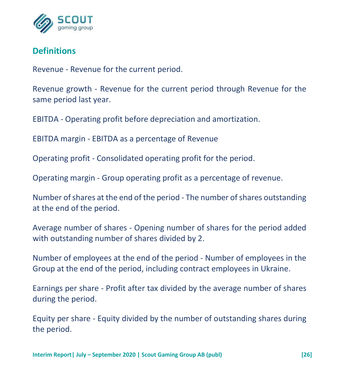

## **Definitions**

Revenue - Revenue for the current period.

Revenue growth - Revenue for the current period through Revenue for the same period last year.

EBITDA - Operating profit before depreciation and amortization.

EBITDA margin - EBITDA as a percentage of Revenue

Operating profit - Consolidated operating profit for the period.

Operating margin - Group operating profit as a percentage of revenue.

Number of shares at the end of the period - The number of shares outstanding at the end of the period.

Average number of shares - Opening number of shares for the period added with outstanding number of shares divided by 2.

Number of employees at the end of the period - Number of employees in the Group at the end of the period, including contract employees in Ukraine.

Earnings per share - Profit after tax divided by the average number of shares during the period.

Equity per share - Equity divided by the number of outstanding shares during the period.